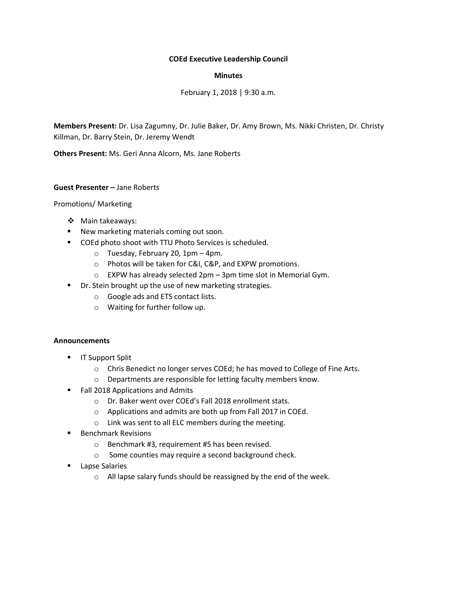# **COEd Executive Leadership Council**

## **Minutes**

February 1, 2018 | 9:30 a.m.

**Members Present:** Dr. Lisa Zagumny, Dr. Julie Baker, Dr. Amy Brown, Ms. Nikki Christen, Dr. Christy Killman, Dr. Barry Stein, Dr. Jeremy Wendt

**Others Present:** Ms. Geri Anna Alcorn, Ms. Jane Roberts

## **Guest Presenter –** Jane Roberts

## Promotions/ Marketing

- ❖ Main takeaways:
- New marketing materials coming out soon.
- COEd photo shoot with TTU Photo Services is scheduled.
	- o Tuesday, February 20, 1pm 4pm.
	- o Photos will be taken for C&I, C&P, and EXPW promotions.
	- o EXPW has already selected 2pm 3pm time slot in Memorial Gym.
- Dr. Stein brought up the use of new marketing strategies.
	- o Google ads and ETS contact lists.
	- o Waiting for further follow up.

#### **Announcements**

- **■** IT Support Split
	- o Chris Benedict no longer serves COEd; he has moved to College of Fine Arts.
	- o Departments are responsible for letting faculty members know.
- Fall 2018 Applications and Admits
	- o Dr. Baker went over COEd's Fall 2018 enrollment stats.
	- o Applications and admits are both up from Fall 2017 in COEd.
	- o Link was sent to all ELC members during the meeting.
- Benchmark Revisions
	- o Benchmark #3, requirement #5 has been revised.
	- o Some counties may require a second background check.
- Lapse Salaries
	- o All lapse salary funds should be reassigned by the end of the week.